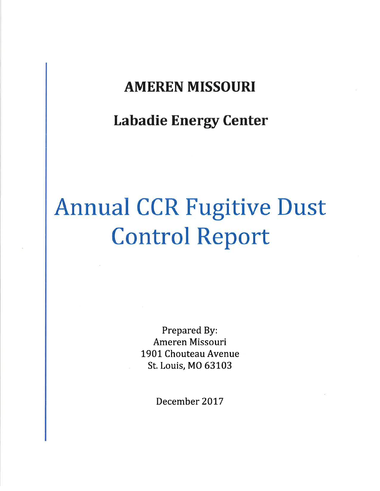## AMEREN MISSOURI

Labadie Energy Center

# Annual CCR Fugitive Dust Control Report

Prepared By: Ameren Missouri 1901 Chouteau Avenue St. Louis, MO 63103

December 2017